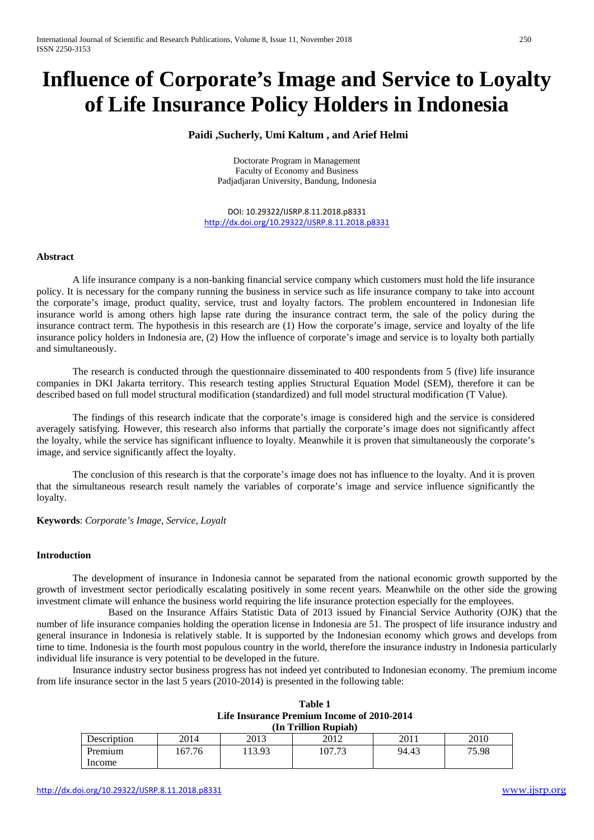# **Influence of Corporate's Image and Service to Loyalty of Life Insurance Policy Holders in Indonesia**

## **Paidi ,Sucherly, Umi Kaltum , and Arief Helmi**

Doctorate Program in Management Faculty of Economy and Business Padjadjaran University, Bandung, Indonesia

DOI: 10.29322/IJSRP.8.11.2018.p8331 <http://dx.doi.org/10.29322/IJSRP.8.11.2018.p8331>

#### **Abstract**

A life insurance company is a non-banking financial service company which customers must hold the life insurance policy. It is necessary for the company running the business in service such as life insurance company to take into account the corporate's image, product quality, service, trust and loyalty factors. The problem encountered in Indonesian life insurance world is among others high lapse rate during the insurance contract term, the sale of the policy during the insurance contract term. The hypothesis in this research are (1) How the corporate's image, service and loyalty of the life insurance policy holders in Indonesia are, (2) How the influence of corporate's image and service is to loyalty both partially and simultaneously.

The research is conducted through the questionnaire disseminated to 400 respondents from 5 (five) life insurance companies in DKI Jakarta territory. This research testing applies Structural Equation Model (SEM), therefore it can be described based on full model structural modification (standardized) and full model structural modification (T Value).

The findings of this research indicate that the corporate's image is considered high and the service is considered averagely satisfying. However, this research also informs that partially the corporate's image does not significantly affect the loyalty, while the service has significant influence to loyalty. Meanwhile it is proven that simultaneously the corporate's image, and service significantly affect the loyalty.

The conclusion of this research is that the corporate's image does not has influence to the loyalty. And it is proven that the simultaneous research result namely the variables of corporate's image and service influence significantly the loyalty.

**Keywords**: *Corporate's Image, Service, Loyalt*

#### **Introduction**

The development of insurance in Indonesia cannot be separated from the national economic growth supported by the growth of investment sector periodically escalating positively in some recent years. Meanwhile on the other side the growing investment climate will enhance the business world requiring the life insurance protection especially for the employees.

Based on the Insurance Affairs Statistic Data of 2013 issued by Financial Service Authority (OJK) that the number of life insurance companies holding the operation license in Indonesia are 51. The prospect of life insurance industry and general insurance in Indonesia is relatively stable. It is supported by the Indonesian economy which grows and develops from time to time. Indonesia is the fourth most populous country in the world, therefore the insurance industry in Indonesia particularly individual life insurance is very potential to be developed in the future.

Insurance industry sector business progress has not indeed yet contributed to Indonesian economy. The premium income from life insurance sector in the last 5 years (2010-2014) is presented in the following table:

| Table 1                                           |
|---------------------------------------------------|
| <b>Life Insurance Premium Income of 2010-2014</b> |
| (In Trillion Rupiah)                              |

| .           |       |       |        |       |       |  |
|-------------|-------|-------|--------|-------|-------|--|
| Description | 2014  | 2013  | 2012   | 2011  | 2010  |  |
| Premium     | 67.76 | 13.93 | 107.73 | 94.43 | 75.98 |  |
| Income      |       |       |        |       |       |  |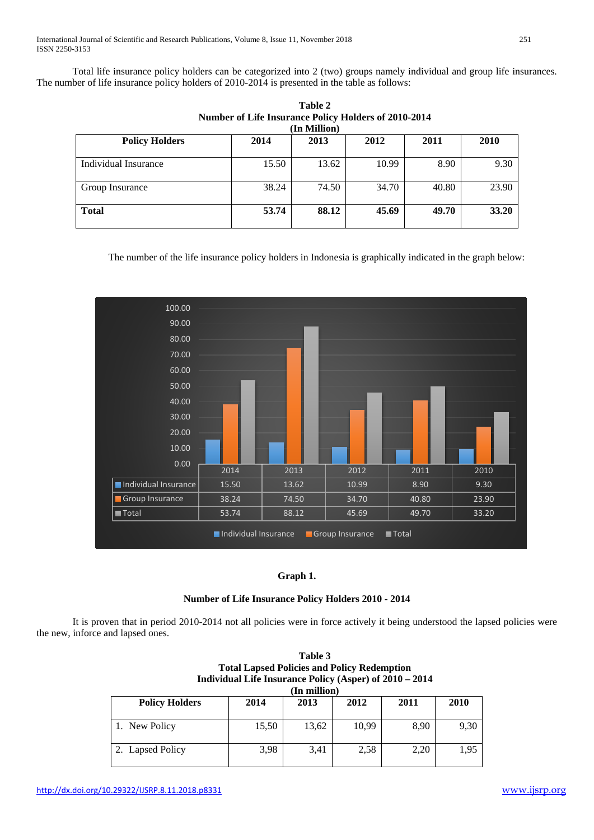Total life insurance policy holders can be categorized into 2 (two) groups namely individual and group life insurances. The number of life insurance policy holders of 2010-2014 is presented in the table as follows:

| <b>RULLIVER OF LITE HISULANCE I ONLY TROUGHS OF 2010-2014</b><br>(In Million) |       |       |       |       |       |  |
|-------------------------------------------------------------------------------|-------|-------|-------|-------|-------|--|
| <b>Policy Holders</b>                                                         | 2014  | 2013  | 2012  | 2011  | 2010  |  |
| Individual Insurance                                                          | 15.50 | 13.62 | 10.99 | 8.90  | 9.30  |  |
| Group Insurance                                                               | 38.24 | 74.50 | 34.70 | 40.80 | 23.90 |  |
| <b>Total</b>                                                                  | 53.74 | 88.12 | 45.69 | 49.70 | 33.20 |  |

**Table 2 Number of Life Insurance Policy Holders of 2010-2014**

The number of the life insurance policy holders in Indonesia is graphically indicated in the graph below:



# **Graph 1.**

# **Number of Life Insurance Policy Holders 2010 - 2014**

It is proven that in period 2010-2014 not all policies were in force actively it being understood the lapsed policies were the new, inforce and lapsed ones.

**Table 3**

|                                                         |       | $1$ and $J$  |       |      |      |  |  |
|---------------------------------------------------------|-------|--------------|-------|------|------|--|--|
| <b>Total Lapsed Policies and Policy Redemption</b>      |       |              |       |      |      |  |  |
| Individual Life Insurance Policy (Asper) of 2010 - 2014 |       |              |       |      |      |  |  |
|                                                         |       | (In million) |       |      |      |  |  |
| <b>Policy Holders</b>                                   | 2014  | 2013         | 2012  | 2011 | 2010 |  |  |
|                                                         |       |              |       |      |      |  |  |
| 1. New Policy                                           | 15,50 | 13,62        | 10,99 | 8,90 | 9,30 |  |  |
|                                                         |       |              |       |      |      |  |  |
| 2. Lapsed Policy                                        | 3,98  | 3,41         | 2,58  | 2,20 | 1,95 |  |  |
|                                                         |       |              |       |      |      |  |  |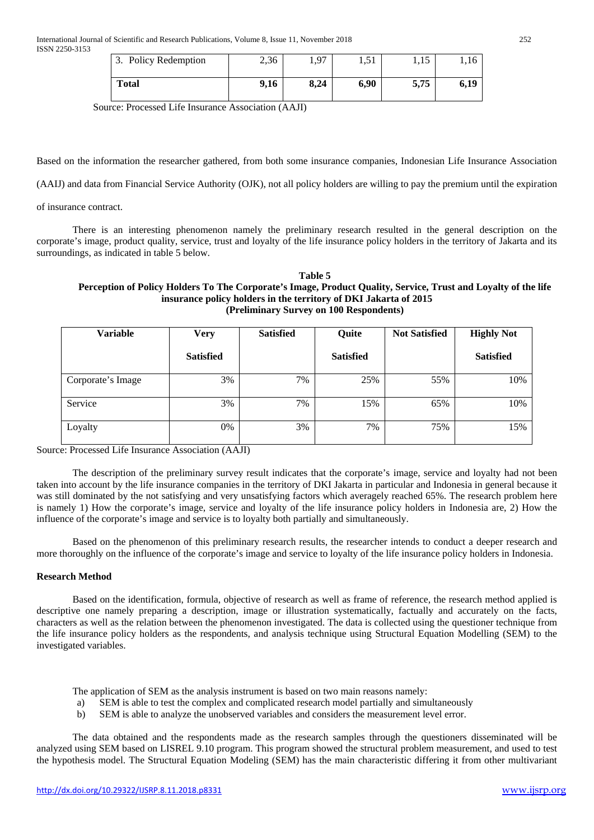| 3. Policy Redemption | 2,36 | Q7   | 1,51 | 1,19 | 1,16 |
|----------------------|------|------|------|------|------|
| <b>Total</b>         | 9,16 | 8.24 | 6,90 | 5,75 | 6,19 |

Source: Processed Life Insurance Association (AAJI)

Based on the information the researcher gathered, from both some insurance companies, Indonesian Life Insurance Association

(AAIJ) and data from Financial Service Authority (OJK), not all policy holders are willing to pay the premium until the expiration

of insurance contract.

There is an interesting phenomenon namely the preliminary research resulted in the general description on the corporate's image, product quality, service, trust and loyalty of the life insurance policy holders in the territory of Jakarta and its surroundings, as indicated in table 5 below.

#### **Table 5 Perception of Policy Holders To The Corporate's Image, Product Quality, Service, Trust and Loyalty of the life insurance policy holders in the territory of DKI Jakarta of 2015 (Preliminary Survey on 100 Respondents)**

| <b>Variable</b>   | <b>Very</b>      | <b>Satisfied</b> | Quite            | <b>Not Satisfied</b> | <b>Highly Not</b> |
|-------------------|------------------|------------------|------------------|----------------------|-------------------|
|                   | <b>Satisfied</b> |                  | <b>Satisfied</b> |                      | <b>Satisfied</b>  |
| Corporate's Image | 3%               | 7%               | 25%              | 55%                  | 10%               |
| Service           | 3%               | 7%               | 15%              | 65%                  | 10%               |
| Loyalty           | 0%               | 3%               | 7%               | 75%                  | 15%               |

Source: Processed Life Insurance Association (AAJI)

The description of the preliminary survey result indicates that the corporate's image, service and loyalty had not been taken into account by the life insurance companies in the territory of DKI Jakarta in particular and Indonesia in general because it was still dominated by the not satisfying and very unsatisfying factors which averagely reached 65%. The research problem here is namely 1) How the corporate's image, service and loyalty of the life insurance policy holders in Indonesia are, 2) How the influence of the corporate's image and service is to loyalty both partially and simultaneously.

Based on the phenomenon of this preliminary research results, the researcher intends to conduct a deeper research and more thoroughly on the influence of the corporate's image and service to loyalty of the life insurance policy holders in Indonesia.

#### **Research Method**

Based on the identification, formula, objective of research as well as frame of reference, the research method applied is descriptive one namely preparing a description, image or illustration systematically, factually and accurately on the facts, characters as well as the relation between the phenomenon investigated. The data is collected using the questioner technique from the life insurance policy holders as the respondents, and analysis technique using Structural Equation Modelling (SEM) to the investigated variables.

The application of SEM as the analysis instrument is based on two main reasons namely:

- a) SEM is able to test the complex and complicated research model partially and simultaneously
- b) SEM is able to analyze the unobserved variables and considers the measurement level error.

The data obtained and the respondents made as the research samples through the questioners disseminated will be analyzed using SEM based on LISREL 9.10 program. This program showed the structural problem measurement, and used to test the hypothesis model. The Structural Equation Modeling (SEM) has the main characteristic differing it from other multivariant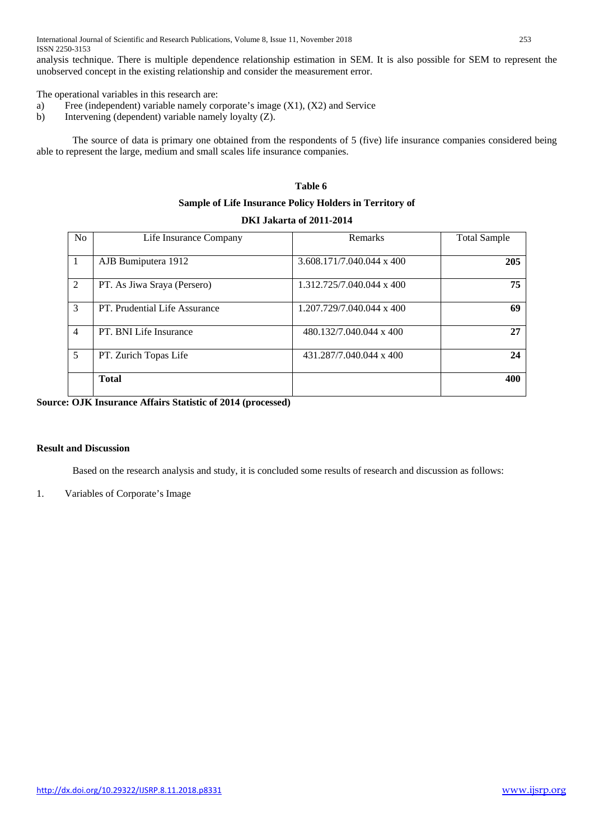International Journal of Scientific and Research Publications, Volume 8, Issue 11, November 2018 253 ISSN 2250-3153

analysis technique. There is multiple dependence relationship estimation in SEM. It is also possible for SEM to represent the unobserved concept in the existing relationship and consider the measurement error.

The operational variables in this research are:

- a) Free (independent) variable namely corporate's image (X1), (X2) and Service
- b) Intervening (dependent) variable namely loyalty (Z).

The source of data is primary one obtained from the respondents of 5 (five) life insurance companies considered being able to represent the large, medium and small scales life insurance companies.

## **Table 6**

#### **Sample of Life Insurance Policy Holders in Territory of**

#### **DKI Jakarta of 2011-2014**

| <b>No</b>      | Life Insurance Company        | Remarks                   | <b>Total Sample</b> |
|----------------|-------------------------------|---------------------------|---------------------|
|                | AJB Bumiputera 1912           | 3.608.171/7.040.044 x 400 | 205                 |
| 2              | PT. As Jiwa Sraya (Persero)   | 1.312.725/7.040.044 x 400 | 75                  |
| 3              | PT. Prudential Life Assurance | 1.207.729/7.040.044 x 400 | 69                  |
| $\overline{4}$ | PT. BNI Life Insurance        | 480.132/7.040.044 x 400   | 27                  |
| 5              | PT. Zurich Topas Life         | 431.287/7.040.044 x 400   | 24                  |
|                | <b>Total</b>                  |                           | 400                 |

#### **Source: OJK Insurance Affairs Statistic of 2014 (processed)**

### **Result and Discussion**

Based on the research analysis and study, it is concluded some results of research and discussion as follows:

#### 1. Variables of Corporate's Image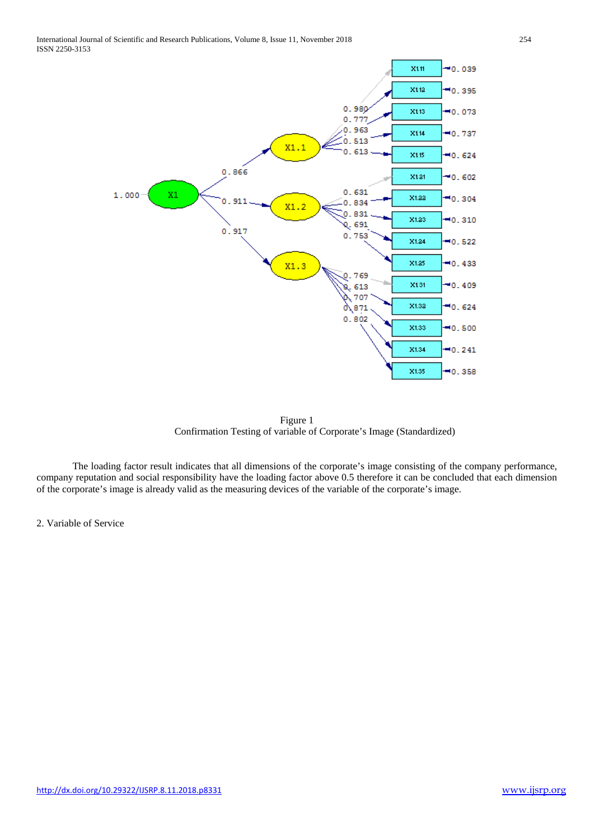

Figure 1 Confirmation Testing of variable of Corporate's Image (Standardized)

The loading factor result indicates that all dimensions of the corporate's image consisting of the company performance, company reputation and social responsibility have the loading factor above 0.5 therefore it can be concluded that each dimension of the corporate's image is already valid as the measuring devices of the variable of the corporate's image.

2. Variable of Service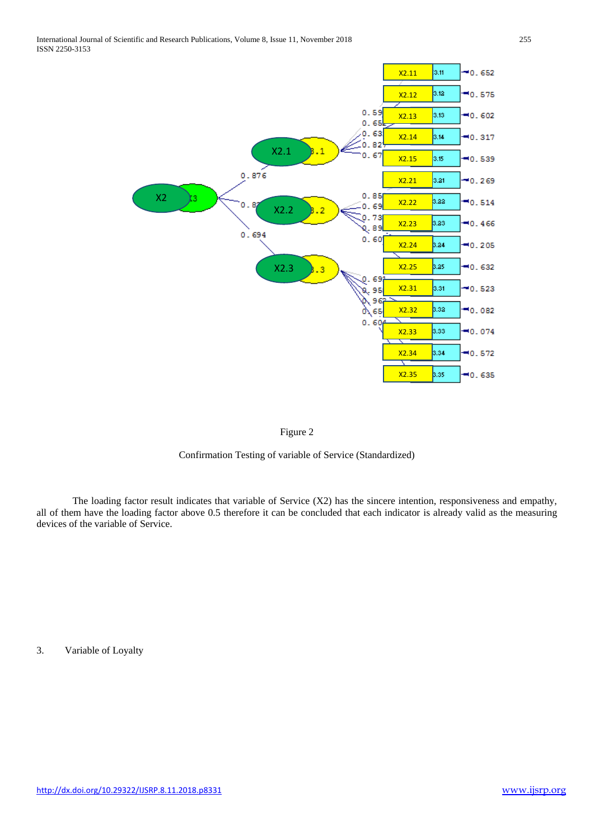



Confirmation Testing of variable of Service (Standardized)

The loading factor result indicates that variable of Service (X2) has the sincere intention, responsiveness and empathy, all of them have the loading factor above 0.5 therefore it can be concluded that each indicator is already valid as the measuring devices of the variable of Service.

3. Variable of Loyalty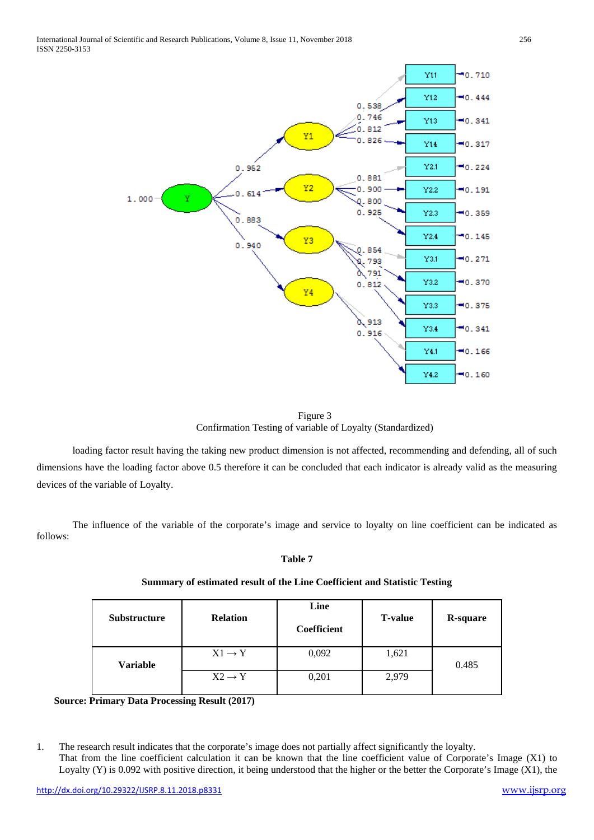

Figure 3 Confirmation Testing of variable of Loyalty (Standardized)

loading factor result having the taking new product dimension is not affected, recommending and defending, all of such dimensions have the loading factor above 0.5 therefore it can be concluded that each indicator is already valid as the measuring devices of the variable of Loyalty.

The influence of the variable of the corporate's image and service to loyalty on line coefficient can be indicated as follows:

## **Table 7**

| <b>Substructure</b> | <b>Relation</b>    | Line<br><b>Coefficient</b> | <b>T-value</b> | <b>R-square</b> |
|---------------------|--------------------|----------------------------|----------------|-----------------|
| <b>Variable</b>     | $X1 \rightarrow Y$ | 0,092                      | 1,621          | 0.485           |
|                     | $X2 \rightarrow Y$ | 0,201                      | 2,979          |                 |

# **Summary of estimated result of the Line Coefficient and Statistic Testing**

 **Source: Primary Data Processing Result (2017)** 

1. The research result indicates that the corporate's image does not partially affect significantly the loyalty. That from the line coefficient calculation it can be known that the line coefficient value of Corporate's Image (X1) to Loyalty (Y) is 0.092 with positive direction, it being understood that the higher or the better the Corporate's Image (X1), the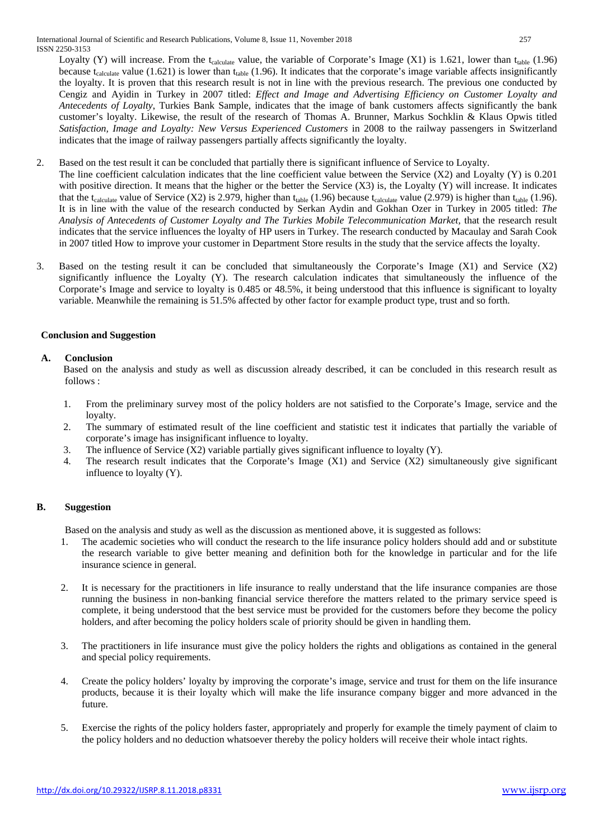Loyalty (Y) will increase. From the  $t_{\text{calculate}}$  value, the variable of Corporate's Image (X1) is 1.621, lower than  $t_{\text{table}}$  (1.96) because t<sub>calculate</sub> value (1.621) is lower than t<sub>table</sub> (1.96). It indicates that the corporate's image variable affects insignificantly the loyalty. It is proven that this research result is not in line with the previous research. The previous one conducted by Cengiz and Ayidin in Turkey in 2007 titled: *Effect and Image and Advertising Efficiency on Customer Loyalty and Antecedents of Loyalty*, Turkies Bank Sample, indicates that the image of bank customers affects significantly the bank customer's loyalty. Likewise, the result of the research of Thomas A. Brunner, Markus Sochklin & Klaus Opwis titled *Satisfaction, Image and Loyalty: New Versus Experienced Customers* in 2008 to the railway passengers in Switzerland indicates that the image of railway passengers partially affects significantly the loyalty.

- 2. Based on the test result it can be concluded that partially there is significant influence of Service to Loyalty.
- The line coefficient calculation indicates that the line coefficient value between the Service (X2) and Loyalty (Y) is 0.201 with positive direction. It means that the higher or the better the Service  $(X3)$  is, the Loyalty  $(Y)$  will increase. It indicates that the t<sub>calculate</sub> value of Service (X2) is 2.979, higher than t<sub>table</sub> (1.96) because t<sub>calculate</sub> value (2.979) is higher than t<sub>table</sub> (1.96). It is in line with the value of the research conducted by Serkan Aydin and Gokhan Ozer in Turkey in 2005 titled: *The Analysis of Antecedents of Customer Loyalty and The Turkies Mobile Telecommunication Market,* that the research result indicates that the service influences the loyalty of HP users in Turkey. The research conducted by Macaulay and Sarah Cook in 2007 titled How to improve your customer in Department Store results in the study that the service affects the loyalty.
- 3. Based on the testing result it can be concluded that simultaneously the Corporate's Image (X1) and Service (X2) significantly influence the Loyalty (Y). The research calculation indicates that simultaneously the influence of the Corporate's Image and service to loyalty is 0.485 or 48.5%, it being understood that this influence is significant to loyalty variable. Meanwhile the remaining is 51.5% affected by other factor for example product type, trust and so forth.

## **Conclusion and Suggestion**

## **A. Conclusion**

Based on the analysis and study as well as discussion already described, it can be concluded in this research result as follows :

- 1. From the preliminary survey most of the policy holders are not satisfied to the Corporate's Image, service and the loyalty.
- 2. The summary of estimated result of the line coefficient and statistic test it indicates that partially the variable of corporate's image has insignificant influence to loyalty.
- 3. The influence of Service  $(X2)$  variable partially gives significant influence to loyalty  $(Y)$ .
- 4. The research result indicates that the Corporate's Image (X1) and Service (X2) simultaneously give significant influence to loyalty (Y).

# **B. Suggestion**

Based on the analysis and study as well as the discussion as mentioned above, it is suggested as follows:

- 1. The academic societies who will conduct the research to the life insurance policy holders should add and or substitute the research variable to give better meaning and definition both for the knowledge in particular and for the life insurance science in general.
- 2. It is necessary for the practitioners in life insurance to really understand that the life insurance companies are those running the business in non-banking financial service therefore the matters related to the primary service speed is complete, it being understood that the best service must be provided for the customers before they become the policy holders, and after becoming the policy holders scale of priority should be given in handling them.
- 3. The practitioners in life insurance must give the policy holders the rights and obligations as contained in the general and special policy requirements.
- 4. Create the policy holders' loyalty by improving the corporate's image, service and trust for them on the life insurance products, because it is their loyalty which will make the life insurance company bigger and more advanced in the future.
- 5. Exercise the rights of the policy holders faster, appropriately and properly for example the timely payment of claim to the policy holders and no deduction whatsoever thereby the policy holders will receive their whole intact rights.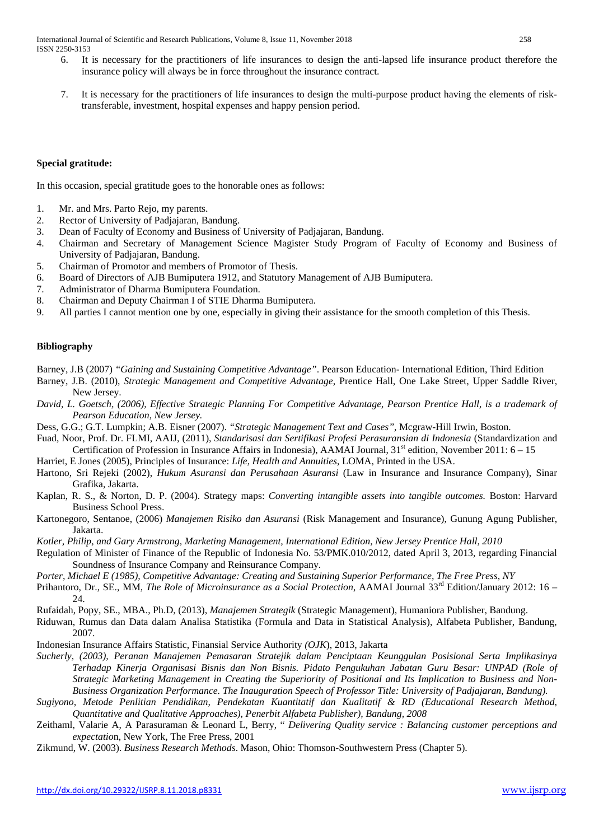International Journal of Scientific and Research Publications, Volume 8, Issue 11, November 2018 258 ISSN 2250-3153

- 6. It is necessary for the practitioners of life insurances to design the anti-lapsed life insurance product therefore the insurance policy will always be in force throughout the insurance contract.
- 7. It is necessary for the practitioners of life insurances to design the multi-purpose product having the elements of risktransferable, investment, hospital expenses and happy pension period.

## **Special gratitude:**

In this occasion, special gratitude goes to the honorable ones as follows:

- 1. Mr. and Mrs. Parto Rejo, my parents.
- 2. Rector of University of Padjajaran, Bandung.
- 3. Dean of Faculty of Economy and Business of University of Padjajaran, Bandung.
- 4. Chairman and Secretary of Management Science Magister Study Program of Faculty of Economy and Business of University of Padjajaran, Bandung.
- 5. Chairman of Promotor and members of Promotor of Thesis.
- 6. Board of Directors of AJB Bumiputera 1912, and Statutory Management of AJB Bumiputera.
- 7. Administrator of Dharma Bumiputera Foundation.
- 8. Chairman and Deputy Chairman I of STIE Dharma Bumiputera.
- 9. All parties I cannot mention one by one, especially in giving their assistance for the smooth completion of this Thesis.

#### **Bibliography**

Barney, J.B (2007) *"Gaining and Sustaining Competitive Advantage"*. Pearson Education- International Edition, Third Edition

- Barney, J.B. (2010), *Strategic Management and Competitive Advantage*, Prentice Hall, One Lake Street, Upper Saddle River, New Jersey.
- *David, L. Goetsch, (2006), Effective Strategic Planning For Competitive Advantage, Pearson Prentice Hall, is a trademark of Pearson Education, New Jersey.*
- Dess, G.G.; G.T. Lumpkin; A.B. Eisner (2007). *"Strategic Management Text and Cases"*, Mcgraw-Hill Irwin, Boston.
- Fuad, Noor, Prof. Dr. FLMI, AAIJ, (2011), *Standarisasi dan Sertifikasi Profesi Perasuransian di Indonesia* (Standardization and Certification of Profession in Insurance Affairs in Indonesia), AAMAI Journal,  $31<sup>st</sup>$  edition, November 2011:  $6 - 15$
- Harriet, E Jones (2005), Principles of Insurance: *Life, Health and Annuities*, LOMA, Printed in the USA.
- Hartono, Sri Rejeki (2002), *Hukum Asuransi dan Perusahaan Asuransi* (Law in Insurance and Insurance Company), Sinar Grafika, Jakarta.
- Kaplan, R. S., & Norton, D. P. (2004). Strategy maps: *Converting intangible assets into tangible outcomes.* Boston: Harvard Business School Press.
- Kartonegoro, Sentanoe, (2006) *Manajemen Risiko dan Asuransi* (Risk Management and Insurance), Gunung Agung Publisher, Jakarta.
- *Kotler, Philip, and Gary Armstrong, Marketing Management, International Edition, New Jersey Prentice Hall, 2010*
- Regulation of Minister of Finance of the Republic of Indonesia No. 53/PMK.010/2012, dated April 3, 2013, regarding Financial Soundness of Insurance Company and Reinsurance Company.
- *Porter, Michael E (1985), Competitive Advantage: Creating and Sustaining Superior Performance, The Free Press, NY*
- Prihantoro, Dr., SE., MM, *The Role of Microinsurance as a Social Protection*, AAMAI Journal 33rd Edition/January 2012: 16 24.
- Rufaidah, Popy, SE., MBA., Ph.D, (2013), *Manajemen Strategik* (Strategic Management), Humaniora Publisher, Bandung.
- Riduwan, Rumus dan Data dalam Analisa Statistika (Formula and Data in Statistical Analysis), Alfabeta Publisher, Bandung, 2007.
- Indonesian Insurance Affairs Statistic, Finansial Service Authority *(OJK*), 2013, Jakarta
- *Sucherly, (2003), Peranan Manajemen Pemasaran Stratejik dalam Penciptaan Keunggulan Posisional Serta Implikasinya Terhadap Kinerja Organisasi Bisnis dan Non Bisnis. Pidato Pengukuhan Jabatan Guru Besar: UNPAD (Role of Strategic Marketing Management in Creating the Superiority of Positional and Its Implication to Business and Non-Business Organization Performance. The Inauguration Speech of Professor Title: University of Padjajaran, Bandung).*
- *Sugiyono, Metode Penlitian Pendidikan, Pendekatan Kuantitatif dan Kualitatif & RD (Educational Research Method, Quantitative and Qualitative Approaches), Penerbit Alfabeta Publisher), Bandung, 2008*
- Zeithaml, Valarie A, A Parasuraman & Leonard L, Berry, " *Delivering Quality service : Balancing customer perceptions and expectatio*n, New York, The Free Press, 2001
- Zikmund, W. (2003). *Business Research Methods*. Mason, Ohio: Thomson-Southwestern Press (Chapter 5).